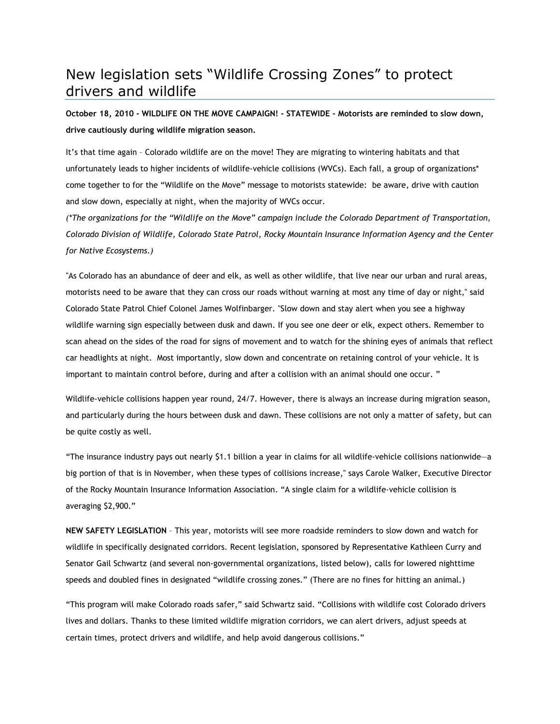## New legislation sets "Wildlife Crossing Zones" to protect drivers and wildlife

**October 18, 2010 - WILDLIFE ON THE MOVE CAMPAIGN! - STATEWIDE – Motorists are reminded to slow down, drive cautiously during wildlife migration season.** 

It's that time again – Colorado wildlife are on the move! They are migrating to wintering habitats and that unfortunately leads to higher incidents of wildlife-vehicle collisions (WVCs). Each fall, a group of organizations\* come together to for the "Wildlife on the Move" message to motorists statewide: be aware, drive with caution and slow down, especially at night, when the majority of WVCs occur.

*(\*The organizations for the "Wildlife on the Move" campaign include the Colorado Department of Transportation, Colorado Division of Wildlife, Colorado State Patrol, Rocky Mountain Insurance Information Agency and the Center for Native Ecosystems.)*

"As Colorado has an abundance of deer and elk, as well as other wildlife, that live near our urban and rural areas, motorists need to be aware that they can cross our roads without warning at most any time of day or night," said Colorado State Patrol Chief Colonel James Wolfinbarger. "Slow down and stay alert when you see a highway wildlife warning sign especially between dusk and dawn. If you see one deer or elk, expect others. Remember to scan ahead on the sides of the road for signs of movement and to watch for the shining eyes of animals that reflect car headlights at night. Most importantly, slow down and concentrate on retaining control of your vehicle. It is important to maintain control before, during and after a collision with an animal should one occur. "

Wildlife-vehicle collisions happen year round, 24/7. However, there is always an increase during migration season, and particularly during the hours between dusk and dawn. These collisions are not only a matter of safety, but can be quite costly as well.

"The insurance industry pays out nearly \$1.1 billion a year in claims for all wildlife-vehicle collisions nationwide—a big portion of that is in November, when these types of collisions increase," says Carole Walker, Executive Director of the Rocky Mountain Insurance Information Association. "A single claim for a wildlife-vehicle collision is averaging \$2,900."

**NEW SAFETY LEGISLATION** – This year, motorists will see more roadside reminders to slow down and watch for wildlife in specifically designated corridors. Recent legislation, sponsored by Representative Kathleen Curry and Senator Gail Schwartz (and several non-governmental organizations, listed below), calls for lowered nighttime speeds and doubled fines in designated "wildlife crossing zones." (There are no fines for hitting an animal.)

"This program will make Colorado roads safer," said Schwartz said. "Collisions with wildlife cost Colorado drivers lives and dollars. Thanks to these limited wildlife migration corridors, we can alert drivers, adjust speeds at certain times, protect drivers and wildlife, and help avoid dangerous collisions."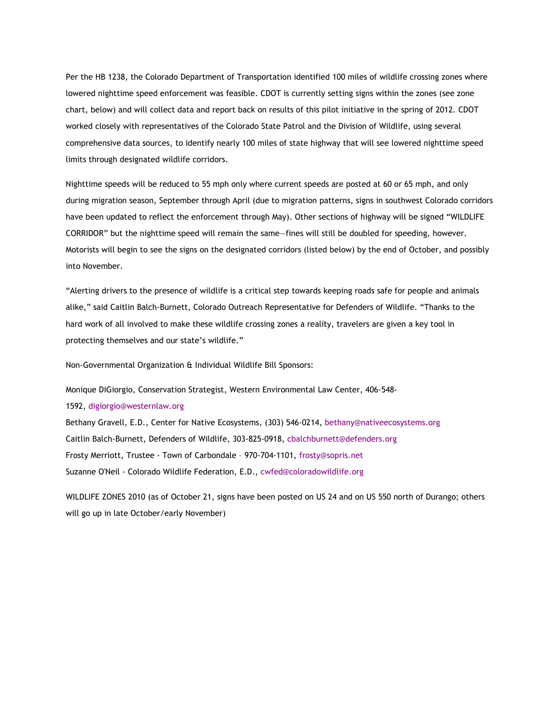Per the HB 1238, the Colorado Department of Transportation identified 100 miles of wildlife crossing zones where lowered nighttime speed enforcement was feasible. CDOT is currently setting signs within the zones (see zone chart, below) and will collect data and report back on results of this pilot initiative in the spring of 2012. CDOT worked closely with representatives of the Colorado State Patrol and the Division of Wildlife, using several comprehensive data sources, to identify nearly 100 miles of state highway that will see lowered nighttime speed limits through designated wildlife corridors.

Nighttime speeds will be reduced to 55 mph only where current speeds are posted at 60 or 65 mph, and only during migration season, September through April (due to migration patterns, signs in southwest Colorado corridors have been updated to reflect the enforcement through May). Other sections of highway will be signed "WILDLIFE CORRIDOR" but the nighttime speed will remain the same—fines will still be doubled for speeding, however. Motorists will begin to see the signs on the designated corridors (listed below) by the end of October, and possibly into November.

"Alerting drivers to the presence of wildlife is a critical step towards keeping roads safe for people and animals alike," said Caitlin Balch-Burnett, Colorado Outreach Representative for Defenders of Wildlife. "Thanks to the hard work of all involved to make these wildlife crossing zones a reality, travelers are given a key tool in protecting themselves and our state's wildlife."

Non-Governmental Organization & Individual Wildlife Bill Sponsors:

Monique DiGiorgio, Conservation Strategist, Western Environmental Law Center, 406-548-

1592, digiorgio@westernlaw.org

Bethany Gravell, E.D., Center for Native Ecosystems, (303) 546-0214, bethany@nativeecosystems.org Caitlin Balch-Burnett, Defenders of Wildlife, 303-825-0918, cbalchburnett@defenders.org Frosty Merriott, Trustee - Town of Carbondale – 970-704-1101, frosty@sopris.net Suzanne O'Neil - Colorado Wildlife Federation, E.D., cwfed@coloradowildlife.org

WILDLIFE ZONES 2010 (as of October 21, signs have been posted on US 24 and on US 550 north of Durango; others will go up in late October/early November)